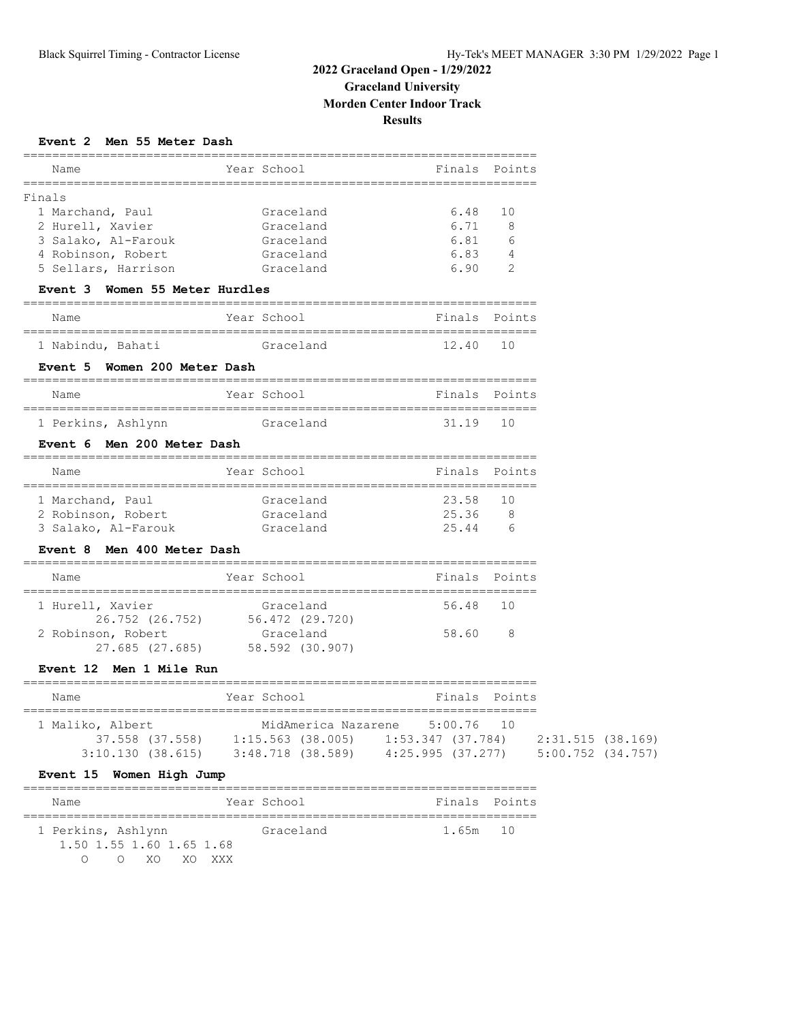# **2022 Graceland Open - 1/29/2022 Graceland University Morden Center Indoor Track Results**

## **Event 2 Men 55 Meter Dash**

| Name<br>======================                                          | =========<br>Year School                                              | ===========================<br>Finals Points |                |  |
|-------------------------------------------------------------------------|-----------------------------------------------------------------------|----------------------------------------------|----------------|--|
| Finals                                                                  |                                                                       |                                              |                |  |
| 1 Marchand, Paul                                                        | Graceland                                                             | 6.48                                         | 10             |  |
| 2 Hurell, Xavier                                                        | Graceland                                                             | 6.71                                         | 8              |  |
| 3 Salako, Al-Farouk                                                     | Graceland                                                             | 6.81                                         | 6              |  |
| 4 Robinson, Robert                                                      | Graceland                                                             | 6.83                                         | $\overline{4}$ |  |
| 5 Sellars, Harrison                                                     | Graceland                                                             | 6.90                                         | 2              |  |
| Event 3 Women 55 Meter Hurdles                                          |                                                                       |                                              |                |  |
| Name                                                                    | Year School                                                           | Finals Points                                |                |  |
| 1 Nabindu, Bahati                                                       | Graceland                                                             | 12.40                                        | 1 O            |  |
| Event 5 Women 200 Meter Dash                                            |                                                                       |                                              |                |  |
| Name                                                                    | Year School                                                           | Finals Points                                |                |  |
| 1 Perkins, Ashlynn                                                      | Graceland                                                             | 31.19                                        | 10             |  |
| Event 6 Men 200 Meter Dash                                              |                                                                       |                                              |                |  |
| Name                                                                    | Year School                                                           |                                              | Finals Points  |  |
| 1 Marchand, Paul                                                        | Graceland                                                             | 23.58                                        | 10             |  |
| 2 Robinson, Robert                                                      | Graceland                                                             | 25.36                                        | 8 <sup>8</sup> |  |
| 3 Salako, Al-Farouk Graceland                                           |                                                                       | 25.44                                        | 6              |  |
| Event 8 Men 400 Meter Dash                                              |                                                                       |                                              |                |  |
| Name                                                                    | Year School                                                           | Finals Points                                |                |  |
| 1 Hurell, Xavier                                                        | Graceland                                                             | 56.48 10                                     |                |  |
|                                                                         | 26.752 (26.752) 56.472 (29.720)                                       |                                              |                |  |
| 2 Robinson, Robert                                                      | Graceland<br>27.685 (27.685) 58.592 (30.907)                          | 58.60                                        | 8              |  |
| Event 12 Men 1 Mile Run                                                 |                                                                       |                                              |                |  |
|                                                                         |                                                                       |                                              |                |  |
| Name                                                                    | Year School                                                           | Finals Points                                |                |  |
| 1 Maliko, Albert                                                        |                                                                       | MidAmerica Nazarene 5:00.76                  | 10             |  |
|                                                                         | 37.558 (37.558) 1:15.563 (38.005) 1:53.347 (37.784) 2:31.515 (38.169) |                                              |                |  |
| 3:10.130 (38.615) 3:48.718 (38.589) 4:25.995 (37.277) 5:00.752 (34.757) |                                                                       |                                              |                |  |

| Name                          | Year School | Finals Points |  |
|-------------------------------|-------------|---------------|--|
| 1 Perkins, Ashlynn            | Graceland   | 1.65m 10      |  |
| 1.50 1.55 1.60 1.65 1.68      |             |               |  |
| XO XO XXX<br>$\left( \right)$ |             |               |  |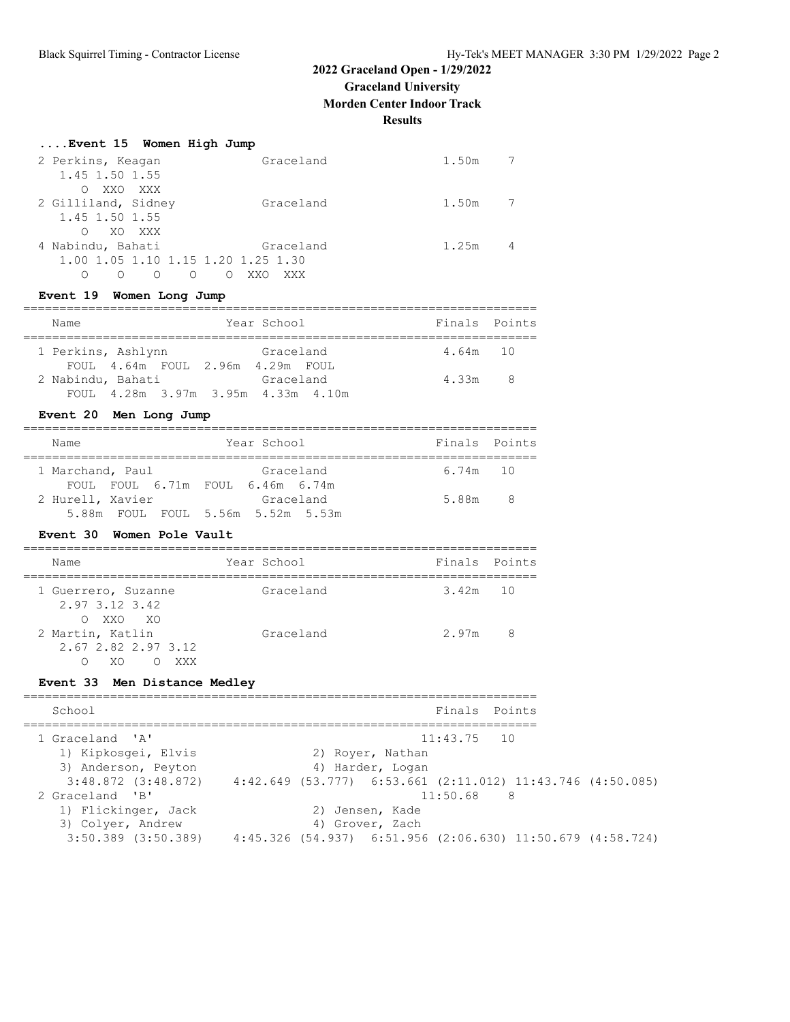# **2022 Graceland Open - 1/29/2022**

**Graceland University**

**Morden Center Indoor Track**

**Results**

|                                     | Event 15 Women High Jump           |            |            |
|-------------------------------------|------------------------------------|------------|------------|
| 2 Perkins, Keagan                   |                                    | Graceland  | 7<br>1.50m |
| 1.45 1.50 1.55                      |                                    |            |            |
| XXO XXX<br>∩<br>2 Gilliland, Sidney |                                    | Graceland  | 7<br>1.50m |
| 1.45 1.50 1.55                      |                                    |            |            |
| $\bigcirc$                          | XO XXX                             |            |            |
| 4 Nabindu, Bahati                   |                                    | Graceland  | 1.25m      |
|                                     | 1.00 1.05 1.10 1.15 1.20 1.25 1.30 |            |            |
| Ω                                   | $\Omega$<br>∩                      | XXO<br>XXX |            |

## **Event 19 Women Long Jump**

| Name               | Year School                                     | Finals Points |  |
|--------------------|-------------------------------------------------|---------------|--|
| 1 Perkins, Ashlynn | Graceland<br>FOUL 4.64m FOUL 2.96m 4.29m FOUL   | 4.64m 10      |  |
| 2 Nabindu, Bahati  | Graceland<br>FOUL 4.28m 3.97m 3.95m 4.33m 4.10m | $4.33m$ 8     |  |

# **Event 20 Men Long Jump**

| Name                                                                                      | Year School | Finals Points |                         |
|-------------------------------------------------------------------------------------------|-------------|---------------|-------------------------|
| 1 Marchand, Paul                                                                          | Graceland   | 6.74m 10      |                         |
| FOUL FOUL 6.71m FOUL 6.46m 6.74m<br>2 Hurell, Xavier<br>5.88m FOUL FOUL 5.56m 5.52m 5.53m | Graceland   | 5.88m         | $\overline{\mathbf{R}}$ |

### **Event 30 Women Pole Vault**

| Name                                                 | Year School | Finals Points |   |
|------------------------------------------------------|-------------|---------------|---|
| 1 Guerrero, Suzanne<br>2.97 3.12 3.42<br>O XXO XO    | Graceland   | $3.42m$ 10    |   |
| 2 Martin, Katlin<br>2.67 2.82 2.97 3.12<br>XΟ<br>XXX | Graceland   | 2.97m         | 8 |

# **Event 33 Men Distance Medley**

| Finals Points<br>School<br>1 Graceland 'A'<br>$11:43.75$ 10<br>1) Kipkosqei, Elvis<br>2) Royer, Nathan<br>3) Anderson, Peyton<br>4) Harder, Logan<br>$3:48.872$ $(3:48.872)$ $4:42.649$ $(53.777)$ $6:53.661$ $(2:11.012)$ $11:43.746$ $(4:50.085)$<br>$11:50.68$ 8<br>2 Graceland 'B'<br>1) Flickinger, Jack<br>2) Jensen, Kade<br>3) Colyer, Andrew<br>4) Grover, Zach<br>$3:50.389$ $(3:50.389)$<br>4:45.326 (54.937) 6:51.956 (2:06.630) 11:50.679 (4:58.724) |  |
|-------------------------------------------------------------------------------------------------------------------------------------------------------------------------------------------------------------------------------------------------------------------------------------------------------------------------------------------------------------------------------------------------------------------------------------------------------------------|--|
|                                                                                                                                                                                                                                                                                                                                                                                                                                                                   |  |
|                                                                                                                                                                                                                                                                                                                                                                                                                                                                   |  |
|                                                                                                                                                                                                                                                                                                                                                                                                                                                                   |  |
|                                                                                                                                                                                                                                                                                                                                                                                                                                                                   |  |
|                                                                                                                                                                                                                                                                                                                                                                                                                                                                   |  |
|                                                                                                                                                                                                                                                                                                                                                                                                                                                                   |  |
|                                                                                                                                                                                                                                                                                                                                                                                                                                                                   |  |
|                                                                                                                                                                                                                                                                                                                                                                                                                                                                   |  |
|                                                                                                                                                                                                                                                                                                                                                                                                                                                                   |  |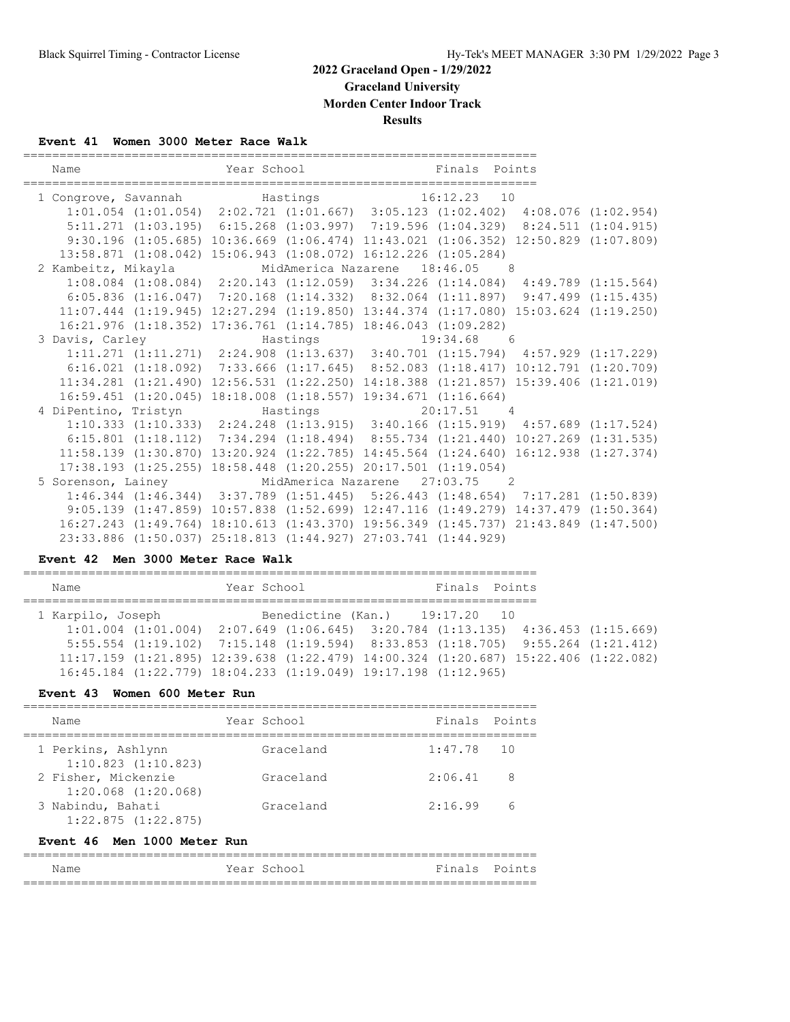# **2022 Graceland Open - 1/29/2022**

**Graceland University**

**Morden Center Indoor Track**

**Results**

#### **Event 41 Women 3000 Meter Race Walk**

| Name                                                                                | _____________________                                                                           | Year School                    | Finals Points |  |
|-------------------------------------------------------------------------------------|-------------------------------------------------------------------------------------------------|--------------------------------|---------------|--|
| 1 Congrove, Savannah Mastings 16:12.23 10                                           |                                                                                                 |                                |               |  |
|                                                                                     | $1:01.054$ $(1:01.054)$ $2:02.721$ $(1:01.667)$ $3:05.123$ $(1:02.402)$ $4:08.076$ $(1:02.954)$ |                                |               |  |
|                                                                                     | $5:11.271$ $(1:03.195)$ $6:15.268$ $(1:03.997)$ $7:19.596$ $(1:04.329)$ $8:24.511$ $(1:04.915)$ |                                |               |  |
| 9:30.196 (1:05.685) 10:36.669 (1:06.474) 11:43.021 (1:06.352) 12:50.829 (1:07.809)  |                                                                                                 |                                |               |  |
| 13:58.871 (1:08.042) 15:06.943 (1:08.072) 16:12.226 (1:05.284)                      |                                                                                                 |                                |               |  |
| 2 Kambeitz, Mikayla                                                                 |                                                                                                 | MidAmerica Nazarene 18:46.05 8 |               |  |
|                                                                                     | $1:08.084$ (1:08.084) 2:20.143 (1:12.059) 3:34.226 (1:14.084) 4:49.789 (1:15.564)               |                                |               |  |
| $6:05.836$ (1:16.047) 7:20.168 (1:14.332) 8:32.064 (1:11.897) 9:47.499 (1:15.435)   |                                                                                                 |                                |               |  |
| 11:07.444 (1:19.945) 12:27.294 (1:19.850) 13:44.374 (1:17.080) 15:03.624 (1:19.250) |                                                                                                 |                                |               |  |
| $16:21.976$ $(1:18.352)$ $17:36.761$ $(1:14.785)$ $18:46.043$ $(1:09.282)$          |                                                                                                 |                                |               |  |
|                                                                                     |                                                                                                 |                                |               |  |
|                                                                                     | $1:11.271$ $(1:11.271)$ $2:24.908$ $(1:13.637)$ $3:40.701$ $(1:15.794)$ $4:57.929$ $(1:17.229)$ |                                |               |  |
| 6:16.021 (1:18.092) 7:33.666 (1:17.645) 8:52.083 (1:18.417) 10:12.791 (1:20.709)    |                                                                                                 |                                |               |  |
| 11:34.281 (1:21.490) 12:56.531 (1:22.250) 14:18.388 (1:21.857) 15:39.406 (1:21.019) |                                                                                                 |                                |               |  |
| $16:59.451$ $(1:20.045)$ $18:18.008$ $(1:18.557)$ $19:34.671$ $(1:16.664)$          |                                                                                                 |                                |               |  |
| 4 DiPentino, Tristyn                                                                |                                                                                                 | Hastings                       | $20:17.51$ 4  |  |
|                                                                                     | 1:10.333 (1:10.333) 2:24.248 (1:13.915) 3:40.166 (1:15.919) 4:57.689 (1:17.524)                 |                                |               |  |
| 6:15.801 (1:18.112) 7:34.294 (1:18.494) 8:55.734 (1:21.440) 10:27.269 (1:31.535)    |                                                                                                 |                                |               |  |
| 11:58.139 (1:30.870) 13:20.924 (1:22.785) 14:45.564 (1:24.640) 16:12.938 (1:27.374) |                                                                                                 |                                |               |  |
| 17:38.193 (1:25.255) 18:58.448 (1:20.255) 20:17.501 (1:19.054)                      |                                                                                                 |                                |               |  |
| 5 Sorenson, Lainey MidAmerica Nazarene 27:03.75 2                                   |                                                                                                 |                                |               |  |
|                                                                                     | 1:46.344 (1:46.344) 3:37.789 (1:51.445) 5:26.443 (1:48.654) 7:17.281 (1:50.839)                 |                                |               |  |
|                                                                                     | 9:05.139 (1:47.859) 10:57.838 (1:52.699) 12:47.116 (1:49.279) 14:37.479 (1:50.364)              |                                |               |  |
| 16:27.243 (1:49.764) 18:10.613 (1:43.370) 19:56.349 (1:45.737) 21:43.849 (1:47.500) |                                                                                                 |                                |               |  |
| 23:33.886 (1:50.037) 25:18.813 (1:44.927) 27:03.741 (1:44.929)                      |                                                                                                 |                                |               |  |

#### **Event 42 Men 3000 Meter Race Walk**

| Name              | Year School |                                                                                                 | Finals Points |  |
|-------------------|-------------|-------------------------------------------------------------------------------------------------|---------------|--|
| 1 Karpilo, Joseph |             | Benedictine (Kan.) 19:17.20 10                                                                  |               |  |
|                   |             | $1:01.004$ $(1:01.004)$ $2:07.649$ $(1:06.645)$ $3:20.784$ $(1:13.135)$ $4:36.453$ $(1:15.669)$ |               |  |
|                   |             | 5:55.554 (1:19.102) 7:15.148 (1:19.594) 8:33.853 (1:18.705) 9:55.264 (1:21.412)                 |               |  |
|                   |             | $11:17.159$ (1:21.895) 12:39.638 (1:22.479) 14:00.324 (1:20.687) 15:22.406 (1:22.082)           |               |  |
|                   |             | $16:45.184$ $(1:22.779)$ $18:04.233$ $(1:19.049)$ $19:17.198$ $(1:12.965)$                      |               |  |
|                   |             |                                                                                                 |               |  |

#### **Event 43 Women 600 Meter Run**

| Name                                           | Year School | Finals Points |   |
|------------------------------------------------|-------------|---------------|---|
| 1 Perkins, Ashlynn<br>$1:10.823$ $(1:10.823)$  | Graceland   | $1:47.78$ 10  |   |
| 2 Fisher, Mickenzie<br>$1:20.068$ $(1:20.068)$ | Graceland   | 2:06.41       | 8 |
| 3 Nabindu, Bahati<br>$1:22.875$ $(1:22.875)$   | Graceland   | 2:16.99       | 6 |

#### **Event 46 Men 1000 Meter Run**

| Name | Year School | Finals Points |  |  |  |
|------|-------------|---------------|--|--|--|
|      |             |               |  |  |  |